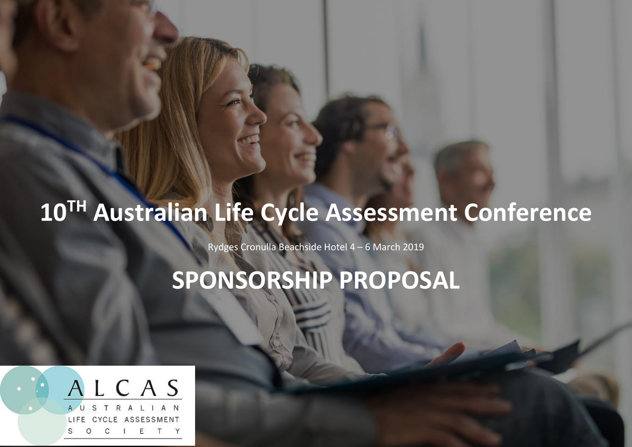# **10TH Australian Life Cycle Assessment Conference**

Rydges Cronulla Beachside Hotel 4 – 6 March 2019

**SPONSORSHIP PROPOSAL**

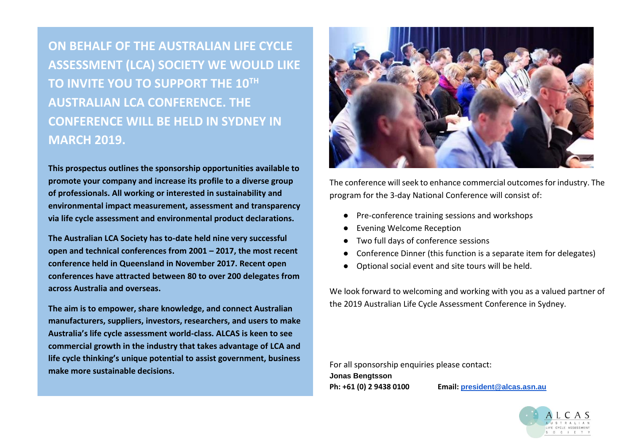**ON BEHALF OF THE AUSTRALIAN LIFE CYCLE ASSESSMENT (LCA) SOCIETY WE WOULD LIKE TO INVITE YOU TO SUPPORT THE 10TH AUSTRALIAN LCA CONFERENCE. THE CONFERENCE WILL BE HELD IN SYDNEY IN MARCH 2019.**

**This prospectus outlines the sponsorship opportunities available to promote your company and increase its profile to a diverse group of professionals. All working or interested in sustainability and environmental impact measurement, assessment and transparency via life cycle assessment and environmental product declarations.**

**The Australian LCA Society has to-date held nine very successful open and technical conferences from 2001 – 2017, the most recent conference held in Queensland in November 2017. Recent open conferences have attracted between 80 to over 200 delegates from across Australia and overseas.**

**The aim is to empower, share knowledge, and connect Australian manufacturers, suppliers, investors, researchers, and users to make Australia's life cycle assessment world-class. ALCAS is keen to see commercial growth in the industry that takes advantage of LCA and life cycle thinking's unique potential to assist government, business make more sustainable decisions.**



The conference will seek to enhance commercial outcomes for industry. The program for the 3-day National Conference will consist of:

- Pre-conference training sessions and workshops
- **Evening Welcome Reception**
- Two full days of conference sessions
- Conference Dinner (this function is a separate item for delegates)
- Optional social event and site tours will be held.

We look forward to welcoming and working with you as a valued partner of the 2019 Australian Life Cycle Assessment Conference in Sydney.

For all sponsorship enquiries please contact: **Jonas Bengtsson Ph: +61 (0) 2 9438 0100 Email: [president@alcas.asn.au](mailto:president@alcas.asn.au)**



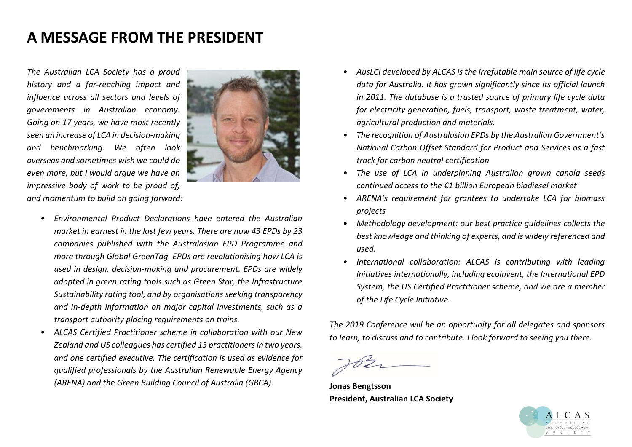### **A MESSAGE FROM THE PRESIDENT**

*The Australian LCA Society has a proud history and a far-reaching impact and influence across all sectors and levels of governments in Australian economy. Going on 17 years, we have most recently seen an increase of LCA in decision-making and benchmarking. We often look overseas and sometimes wish we could do even more, but I would argue we have an impressive body of work to be proud of, and momentum to build on going forward:*



- *Environmental Product Declarations have entered the Australian market in earnest in the last few years. There are now 43 EPDs by 23 companies published with the Australasian EPD Programme and more through Global GreenTag. EPDs are revolutionising how LCA is used in design, decision-making and procurement. EPDs are widely adopted in green rating tools such as Green Star, the Infrastructure Sustainability rating tool, and by organisations seeking transparency and in-depth information on major capital investments, such as a transport authority placing requirements on trains.*
- *ALCAS Certified Practitioner scheme in collaboration with our New Zealand and US colleagues has certified 13 practitioners in two years, and one certified executive. The certification is used as evidence for qualified professionals by the Australian Renewable Energy Agency (ARENA) and the Green Building Council of Australia (GBCA).*
- *AusLCI developed by ALCAS is the irrefutable main source of life cycle data for Australia. It has grown significantly since its official launch in 2011. The database is a trusted source of primary life cycle data for electricity generation, fuels, transport, waste treatment, water, agricultural production and materials.*
- *The recognition of Australasian EPDs by the Australian Government's National Carbon Offset Standard for Product and Services as a fast track for carbon neutral certification*
- *The use of LCA in underpinning Australian grown canola seeds continued access to the €1 billion European biodiesel market*
- *ARENA's requirement for grantees to undertake LCA for biomass projects*
- *Methodology development: our best practice guidelines collects the best knowledge and thinking of experts, and is widely referenced and used.*
- *International collaboration: ALCAS is contributing with leading initiatives internationally, including ecoinvent, the International EPD System, the US Certified Practitioner scheme, and we are a member of the Life Cycle Initiative.*

*The 2019 Conference will be an opportunity for all delegates and sponsors to learn, to discuss and to contribute. I look forward to seeing you there.*

**Jonas Bengtsson President, Australian LCA Society**

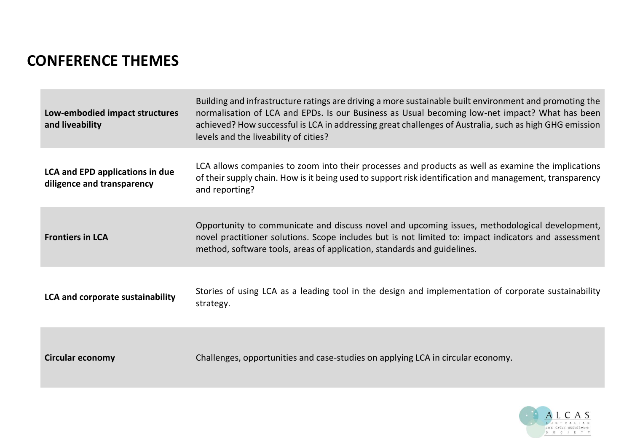# **CONFERENCE THEMES**

| Low-embodied impact structures<br>and liveability                    | Building and infrastructure ratings are driving a more sustainable built environment and promoting the<br>normalisation of LCA and EPDs. Is our Business as Usual becoming low-net impact? What has been<br>achieved? How successful is LCA in addressing great challenges of Australia, such as high GHG emission<br>levels and the liveability of cities? |
|----------------------------------------------------------------------|-------------------------------------------------------------------------------------------------------------------------------------------------------------------------------------------------------------------------------------------------------------------------------------------------------------------------------------------------------------|
| <b>LCA and EPD applications in due</b><br>diligence and transparency | LCA allows companies to zoom into their processes and products as well as examine the implications<br>of their supply chain. How is it being used to support risk identification and management, transparency<br>and reporting?                                                                                                                             |
| <b>Frontiers in LCA</b>                                              | Opportunity to communicate and discuss novel and upcoming issues, methodological development,<br>novel practitioner solutions. Scope includes but is not limited to: impact indicators and assessment<br>method, software tools, areas of application, standards and guidelines.                                                                            |
| LCA and corporate sustainability                                     | Stories of using LCA as a leading tool in the design and implementation of corporate sustainability<br>strategy.                                                                                                                                                                                                                                            |
| <b>Circular economy</b>                                              | Challenges, opportunities and case-studies on applying LCA in circular economy.                                                                                                                                                                                                                                                                             |

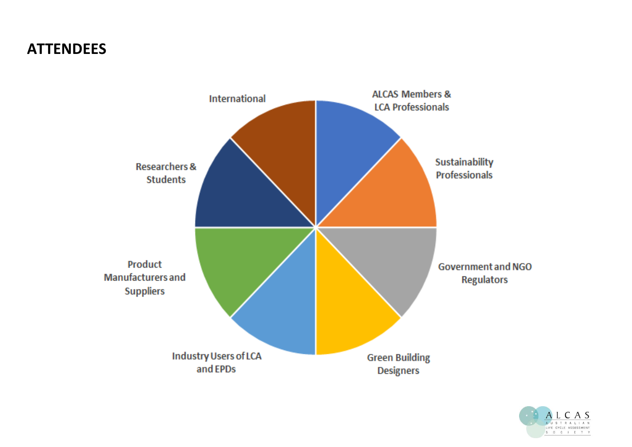### **ATTENDEES**



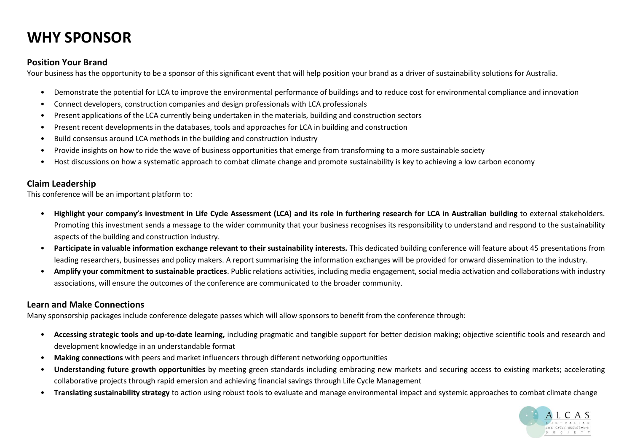# **WHY SPONSOR**

#### **Position Your Brand**

Your business has the opportunity to be a sponsor of this significant event that will help position your brand as a driver of sustainability solutions for Australia.

- Demonstrate the potential for LCA to improve the environmental performance of buildings and to reduce cost for environmental compliance and innovation
- Connect developers, construction companies and design professionals with LCA professionals
- Present applications of the LCA currently being undertaken in the materials, building and construction sectors
- Present recent developments in the databases, tools and approaches for LCA in building and construction
- Build consensus around LCA methods in the building and construction industry
- Provide insights on how to ride the wave of business opportunities that emerge from transforming to a more sustainable society
- Host discussions on how a systematic approach to combat climate change and promote sustainability is key to achieving a low carbon economy

#### **Claim Leadership**

This conference will be an important platform to:

- **Highlight your company's investment in Life Cycle Assessment (LCA) and its role in furthering research for LCA in Australian building** to external stakeholders. Promoting this investment sends a message to the wider community that your business recognises its responsibility to understand and respond to the sustainability aspects of the building and construction industry.
- **Participate in valuable information exchange relevant to their sustainability interests.** This dedicated building conference will feature about 45 presentations from leading researchers, businesses and policy makers. A report summarising the information exchanges will be provided for onward dissemination to the industry.
- **Amplify your commitment to sustainable practices**. Public relations activities, including media engagement, social media activation and collaborations with industry associations, will ensure the outcomes of the conference are communicated to the broader community.

#### **Learn and Make Connections**

Many sponsorship packages include conference delegate passes which will allow sponsors to benefit from the conference through:

- **Accessing strategic tools and up-to-date learning,** including pragmatic and tangible support for better decision making; objective scientific tools and research and development knowledge in an understandable format
- **Making connections** with peers and market influencers through different networking opportunities
- **Understanding future growth opportunities** by meeting green standards including embracing new markets and securing access to existing markets; accelerating collaborative projects through rapid emersion and achieving financial savings through Life Cycle Management
- **Translating sustainability strategy** to action using robust tools to evaluate and manage environmental impact and systemic approaches to combat climate change

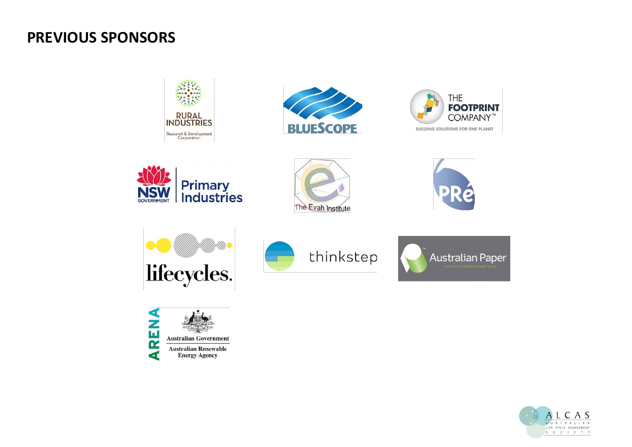### **PREVIOUS SPONSORS**





















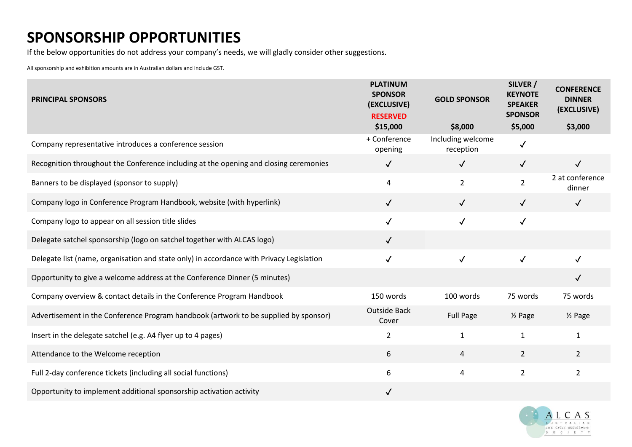# **SPONSORSHIP OPPORTUNITIES**

If the below opportunities do not address your company's needs, we will gladly consider other suggestions.

All sponsorship and exhibition amounts are in Australian dollars and include GST.

| <b>PRINCIPAL SPONSORS</b>                                                                | <b>PLATINUM</b><br><b>SPONSOR</b><br>(EXCLUSIVE)<br><b>RESERVED</b> | <b>GOLD SPONSOR</b>            | SILVER /<br><b>KEYNOTE</b><br><b>SPEAKER</b><br><b>SPONSOR</b> | <b>CONFERENCE</b><br><b>DINNER</b><br>(EXCLUSIVE) |
|------------------------------------------------------------------------------------------|---------------------------------------------------------------------|--------------------------------|----------------------------------------------------------------|---------------------------------------------------|
|                                                                                          | \$15,000                                                            | \$8,000                        | \$5,000                                                        | \$3,000                                           |
| Company representative introduces a conference session                                   | + Conference<br>opening                                             | Including welcome<br>reception | $\checkmark$                                                   |                                                   |
| Recognition throughout the Conference including at the opening and closing ceremonies    | $\checkmark$                                                        | $\checkmark$                   | $\sqrt{ }$                                                     | $\checkmark$                                      |
| Banners to be displayed (sponsor to supply)                                              | 4                                                                   | $\overline{2}$                 | $\overline{2}$                                                 | 2 at conference<br>dinner                         |
| Company logo in Conference Program Handbook, website (with hyperlink)                    | $\checkmark$                                                        | $\sqrt{2}$                     | $\checkmark$                                                   | $\checkmark$                                      |
| Company logo to appear on all session title slides                                       | $\checkmark$                                                        | $\checkmark$                   | $\checkmark$                                                   |                                                   |
| Delegate satchel sponsorship (logo on satchel together with ALCAS logo)                  | $\checkmark$                                                        |                                |                                                                |                                                   |
| Delegate list (name, organisation and state only) in accordance with Privacy Legislation | $\checkmark$                                                        | $\checkmark$                   | $\checkmark$                                                   |                                                   |
| Opportunity to give a welcome address at the Conference Dinner (5 minutes)               |                                                                     |                                |                                                                | $\checkmark$                                      |
| Company overview & contact details in the Conference Program Handbook                    | 150 words                                                           | 100 words                      | 75 words                                                       | 75 words                                          |
| Advertisement in the Conference Program handbook (artwork to be supplied by sponsor)     | <b>Outside Back</b><br>Cover                                        | <b>Full Page</b>               | $\frac{1}{2}$ Page                                             | 1/ <sub>2</sub> Page                              |
| Insert in the delegate satchel (e.g. A4 flyer up to 4 pages)                             | $\overline{2}$                                                      | $\mathbf{1}$                   | $\mathbf{1}$                                                   | $\mathbf{1}$                                      |
| Attendance to the Welcome reception                                                      | 6                                                                   | 4                              | $\overline{2}$                                                 | $\overline{2}$                                    |
| Full 2-day conference tickets (including all social functions)                           | 6                                                                   | 4                              | $\overline{2}$                                                 | $\overline{2}$                                    |
| Opportunity to implement additional sponsorship activation activity                      | $\checkmark$                                                        |                                |                                                                |                                                   |

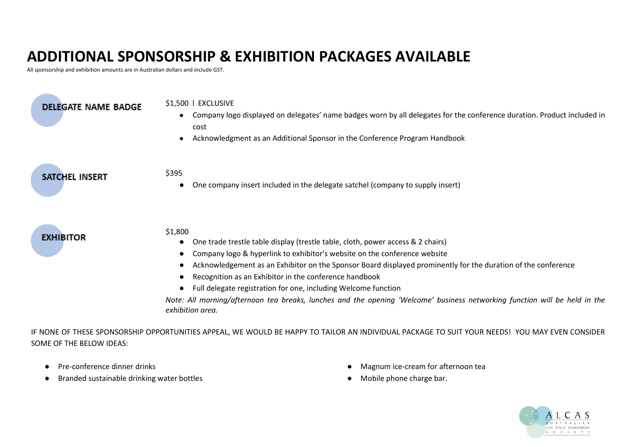# **ADDITIONAL SPONSORSHIP & EXHIBITION PACKAGES AVAILABLE**

All sponsorship and exhibition amounts are in Australian dollars and include GST.

| <b>DELEGATE NAME BADGE</b> | \$1,500   EXCLUSIVE<br>Company logo displayed on delegates' name badges worn by all delegates for the conference duration. Product included in<br>cost<br>Acknowledgment as an Additional Sponsor in the Conference Program Handbook                                                                                                                                                                                                                                                                                                                                   |
|----------------------------|------------------------------------------------------------------------------------------------------------------------------------------------------------------------------------------------------------------------------------------------------------------------------------------------------------------------------------------------------------------------------------------------------------------------------------------------------------------------------------------------------------------------------------------------------------------------|
| <b>SATCHEL INSERT</b>      | \$395<br>One company insert included in the delegate satchel (company to supply insert)                                                                                                                                                                                                                                                                                                                                                                                                                                                                                |
| <b>EXHIBITOR</b>           | \$1,800<br>One trade trestle table display (trestle table, cloth, power access & 2 chairs)<br>Company logo & hyperlink to exhibitor's website on the conference website<br>Acknowledgement as an Exhibitor on the Sponsor Board displayed prominently for the duration of the conference<br>Recognition as an Exhibitor in the conference handbook<br>Full delegate registration for one, including Welcome function<br>Note: All morning/afternoon tea breaks, lunches and the opening 'Welcome' business networking function will be held in the<br>exhibition area. |

IF NONE OF THESE SPONSORSHIP OPPORTUNITIES APPEAL, WE WOULD BE HAPPY TO TAILOR AN INDIVIDUAL PACKAGE TO SUIT YOUR NEEDS! YOU MAY EVEN CONSIDER SOME OF THE BELOW IDEAS:

- Pre-conference dinner drinks
- Branded sustainable drinking water bottles
- Magnum ice-cream for afternoon tea
- Mobile phone charge bar.